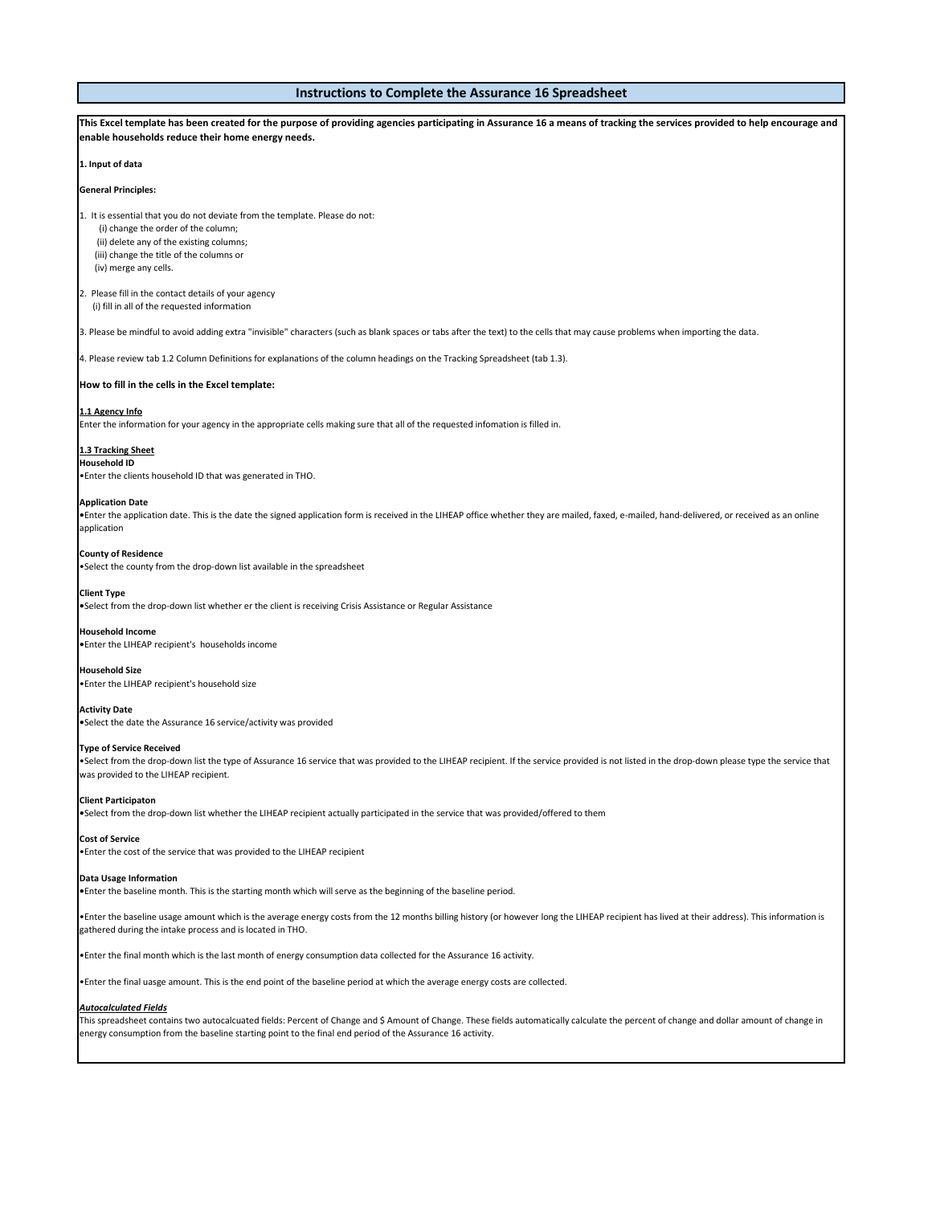## **Instructions to Complete the Assurance 16 Spreadsheet**

| This Excel template has been created for the purpose of providing agencies participating in Assurance 16 a means of tracking the services provided to help encourage and<br>enable households reduce their home energy needs.                                                                                                          |
|----------------------------------------------------------------------------------------------------------------------------------------------------------------------------------------------------------------------------------------------------------------------------------------------------------------------------------------|
| 1. Input of data                                                                                                                                                                                                                                                                                                                       |
| <b>General Principles:</b>                                                                                                                                                                                                                                                                                                             |
| 1. It is essential that you do not deviate from the template. Please do not:<br>(i) change the order of the column;<br>(ii) delete any of the existing columns;<br>(iii) change the title of the columns or<br>(iv) merge any cells.                                                                                                   |
| 2. Please fill in the contact details of your agency<br>(i) fill in all of the requested information                                                                                                                                                                                                                                   |
| 3. Please be mindful to avoid adding extra "invisible" characters (such as blank spaces or tabs after the text) to the cells that may cause problems when importing the data.                                                                                                                                                          |
| 4. Please review tab 1.2 Column Definitions for explanations of the column headings on the Tracking Spreadsheet (tab 1.3).                                                                                                                                                                                                             |
| How to fill in the cells in the Excel template:                                                                                                                                                                                                                                                                                        |
| 1.1 Agency Info<br>Enter the information for your agency in the appropriate cells making sure that all of the requested infomation is filled in.                                                                                                                                                                                       |
| 1.3 Tracking Sheet<br><b>Household ID</b><br>. Enter the clients household ID that was generated in THO.                                                                                                                                                                                                                               |
| <b>Application Date</b><br>. Enter the application date. This is the date the signed application form is received in the LIHEAP office whether they are mailed, faxed, e-mailed, hand-delivered, or received as an online<br>application                                                                                               |
| <b>County of Residence</b><br>. Select the county from the drop-down list available in the spreadsheet                                                                                                                                                                                                                                 |
| <b>Client Type</b><br>.Select from the drop-down list whether er the client is receiving Crisis Assistance or Regular Assistance                                                                                                                                                                                                       |
| <b>Household Income</b><br>. Enter the LIHEAP recipient's households income                                                                                                                                                                                                                                                            |
| <b>Household Size</b><br>. Enter the LIHEAP recipient's household size                                                                                                                                                                                                                                                                 |
| <b>Activity Date</b><br>•Select the date the Assurance 16 service/activity was provided                                                                                                                                                                                                                                                |
| <b>Type of Service Received</b><br>. Select from the drop-down list the type of Assurance 16 service that was provided to the LIHEAP recipient. If the service provided is not listed in the drop-down please type the service that<br>was provided to the LIHEAP recipient.                                                           |
| <b>Client Participaton</b><br>•Select from the drop-down list whether the LIHEAP recipient actually participated in the service that was provided/offered to them                                                                                                                                                                      |
| <b>Cost of Service</b><br>. Enter the cost of the service that was provided to the LIHEAP recipient                                                                                                                                                                                                                                    |
| Data Usage Information<br>• Enter the baseline month. This is the starting month which will serve as the beginning of the baseline period.                                                                                                                                                                                             |
| •Enter the baseline usage amount which is the average energy costs from the 12 months billing history (or however long the LIHEAP recipient has lived at their address). This information is<br>gathered during the intake process and is located in THO.                                                                              |
| • Enter the final month which is the last month of energy consumption data collected for the Assurance 16 activity.                                                                                                                                                                                                                    |
| • Enter the final uasge amount. This is the end point of the baseline period at which the average energy costs are collected.                                                                                                                                                                                                          |
| <u> Autocalculated Fields</u><br>This spreadsheet contains two autocalcuated fields: Percent of Change and \$ Amount of Change. These fields automatically calculate the percent of change and dollar amount of change in<br>energy consumption from the baseline starting point to the final end period of the Assurance 16 activity. |
|                                                                                                                                                                                                                                                                                                                                        |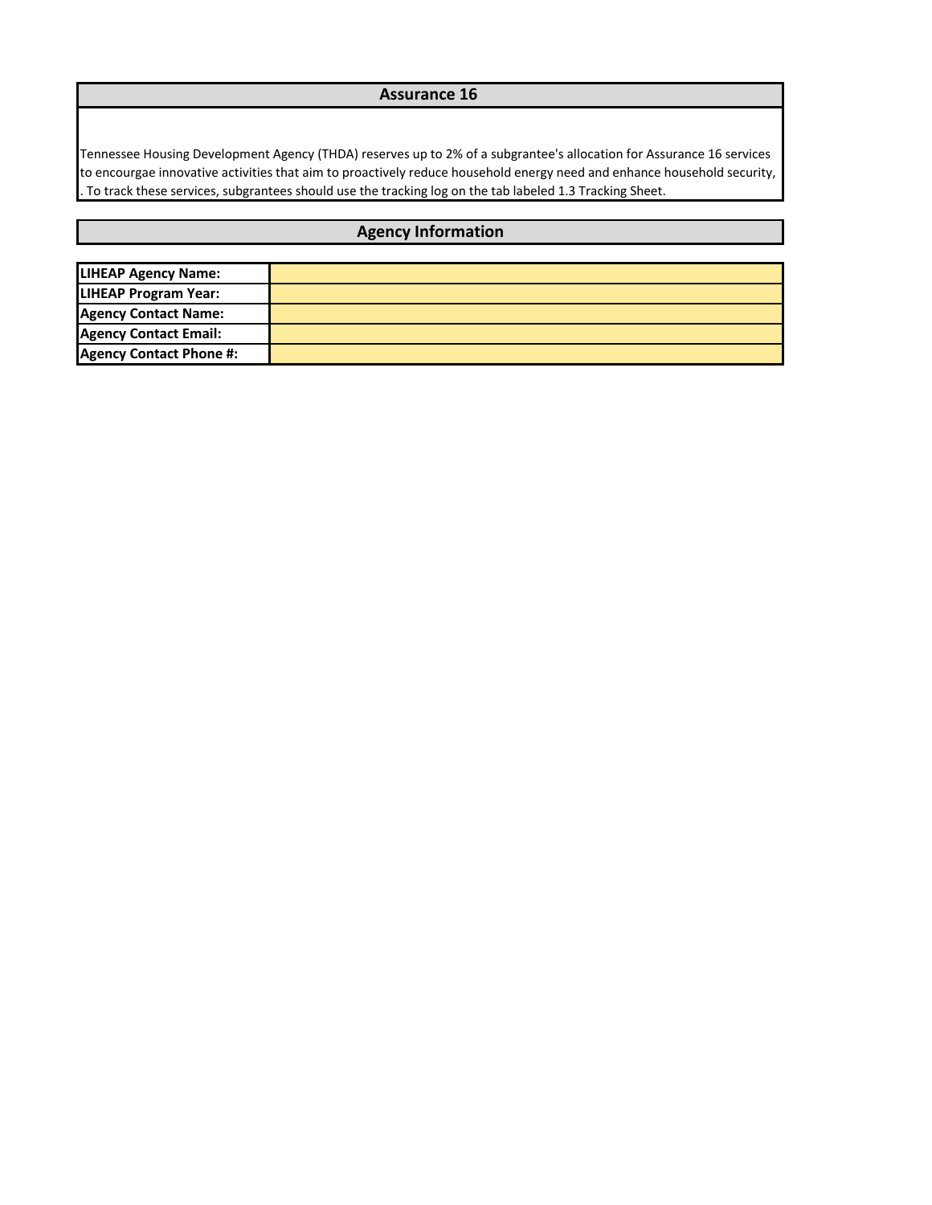## **Assurance 16**

Tennessee Housing Development Agency (THDA) reserves up to 2% of a subgrantee's allocation for Assurance 16 services to encourgae innovative activities that aim to proactively reduce household energy need and enhance household security, . To track these services, subgrantees should use the tracking log on the tab labeled 1.3 Tracking Sheet.

## **Agency Information**

| <b>LIHEAP Agency Name:</b>     |  |
|--------------------------------|--|
| <b>LIHEAP Program Year:</b>    |  |
| <b>Agency Contact Name:</b>    |  |
| <b>Agency Contact Email:</b>   |  |
| <b>Agency Contact Phone #:</b> |  |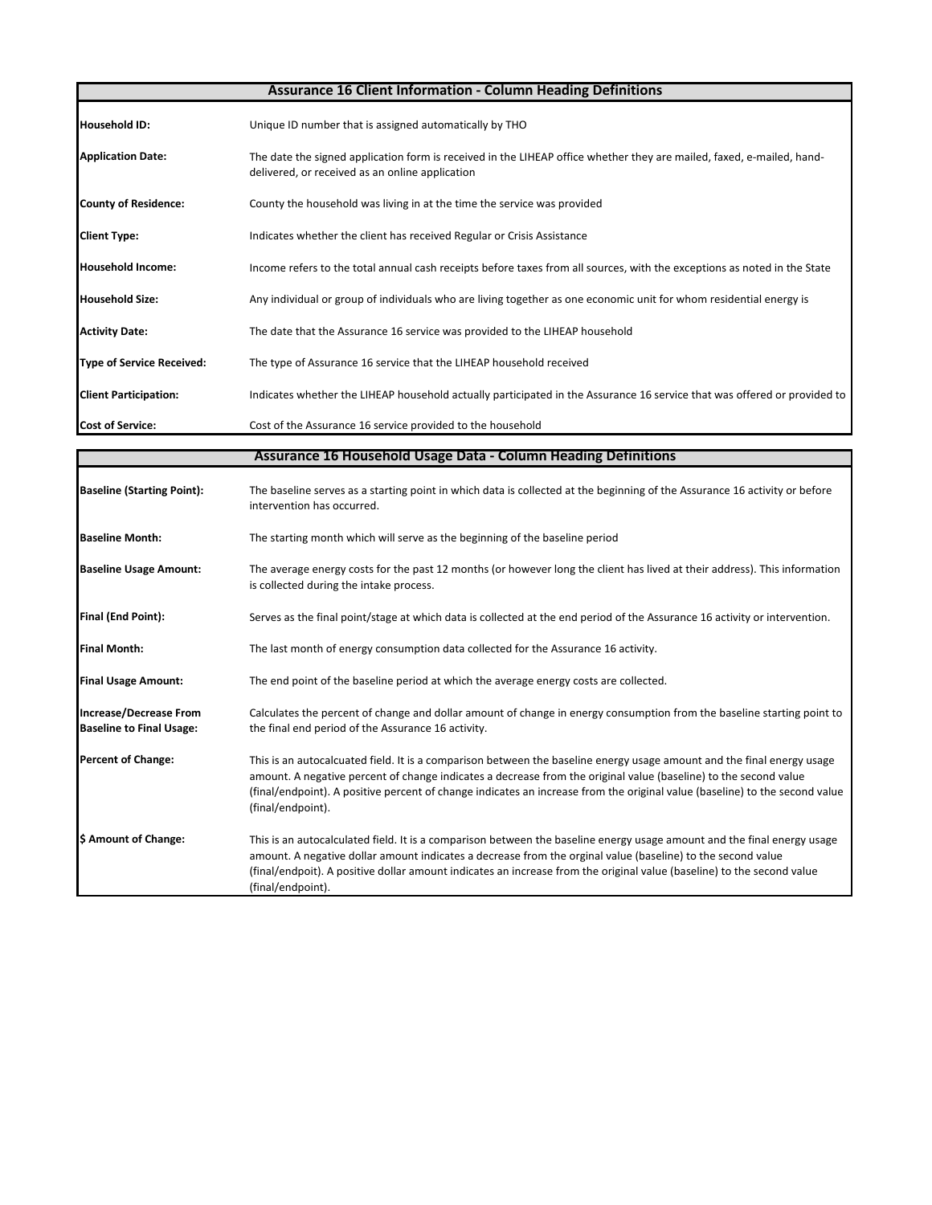| <b>Assurance 16 Client Information - Column Heading Definitions</b> |                                                                                                                                                                          |  |  |  |  |  |  |
|---------------------------------------------------------------------|--------------------------------------------------------------------------------------------------------------------------------------------------------------------------|--|--|--|--|--|--|
| <b>Household ID:</b>                                                | Unique ID number that is assigned automatically by THO                                                                                                                   |  |  |  |  |  |  |
| <b>Application Date:</b>                                            | The date the signed application form is received in the LIHEAP office whether they are mailed, faxed, e-mailed, hand-<br>delivered, or received as an online application |  |  |  |  |  |  |
| <b>County of Residence:</b>                                         | County the household was living in at the time the service was provided                                                                                                  |  |  |  |  |  |  |
| <b>Client Type:</b>                                                 | Indicates whether the client has received Regular or Crisis Assistance                                                                                                   |  |  |  |  |  |  |
| <b>Household Income:</b>                                            | Income refers to the total annual cash receipts before taxes from all sources, with the exceptions as noted in the State                                                 |  |  |  |  |  |  |
| <b>Household Size:</b>                                              | Any individual or group of individuals who are living together as one economic unit for whom residential energy is                                                       |  |  |  |  |  |  |
| <b>Activity Date:</b>                                               | The date that the Assurance 16 service was provided to the LIHEAP household                                                                                              |  |  |  |  |  |  |
| <b>Type of Service Received:</b>                                    | The type of Assurance 16 service that the LIHEAP household received                                                                                                      |  |  |  |  |  |  |
| <b>Client Participation:</b>                                        | Indicates whether the LIHEAP household actually participated in the Assurance 16 service that was offered or provided to                                                 |  |  |  |  |  |  |
| <b>Cost of Service:</b>                                             | Cost of the Assurance 16 service provided to the household                                                                                                               |  |  |  |  |  |  |
|                                                                     | <b>Assurance 16 Household Usage Data - Column Heading Definitions</b>                                                                                                    |  |  |  |  |  |  |

| <b>Baseline (Starting Point):</b>                                | The baseline serves as a starting point in which data is collected at the beginning of the Assurance 16 activity or before<br>intervention has occurred.                                                                                                                                                                                                                                       |
|------------------------------------------------------------------|------------------------------------------------------------------------------------------------------------------------------------------------------------------------------------------------------------------------------------------------------------------------------------------------------------------------------------------------------------------------------------------------|
| <b>Baseline Month:</b>                                           | The starting month which will serve as the beginning of the baseline period                                                                                                                                                                                                                                                                                                                    |
| <b>Baseline Usage Amount:</b>                                    | The average energy costs for the past 12 months (or however long the client has lived at their address). This information<br>is collected during the intake process.                                                                                                                                                                                                                           |
| Final (End Point):                                               | Serves as the final point/stage at which data is collected at the end period of the Assurance 16 activity or intervention.                                                                                                                                                                                                                                                                     |
| <b>Final Month:</b>                                              | The last month of energy consumption data collected for the Assurance 16 activity.                                                                                                                                                                                                                                                                                                             |
| <b>Final Usage Amount:</b>                                       | The end point of the baseline period at which the average energy costs are collected.                                                                                                                                                                                                                                                                                                          |
| <b>Increase/Decrease From</b><br><b>Baseline to Final Usage:</b> | Calculates the percent of change and dollar amount of change in energy consumption from the baseline starting point to<br>the final end period of the Assurance 16 activity.                                                                                                                                                                                                                   |
| <b>Percent of Change:</b>                                        | This is an autocalcuated field. It is a comparison between the baseline energy usage amount and the final energy usage<br>amount. A negative percent of change indicates a decrease from the original value (baseline) to the second value<br>(final/endpoint). A positive percent of change indicates an increase from the original value (baseline) to the second value<br>(final/endpoint). |
| \$ Amount of Change:                                             | This is an autocalculated field. It is a comparison between the baseline energy usage amount and the final energy usage<br>amount. A negative dollar amount indicates a decrease from the orginal value (baseline) to the second value<br>(final/endpoit). A positive dollar amount indicates an increase from the original value (baseline) to the second value<br>(final/endpoint).          |